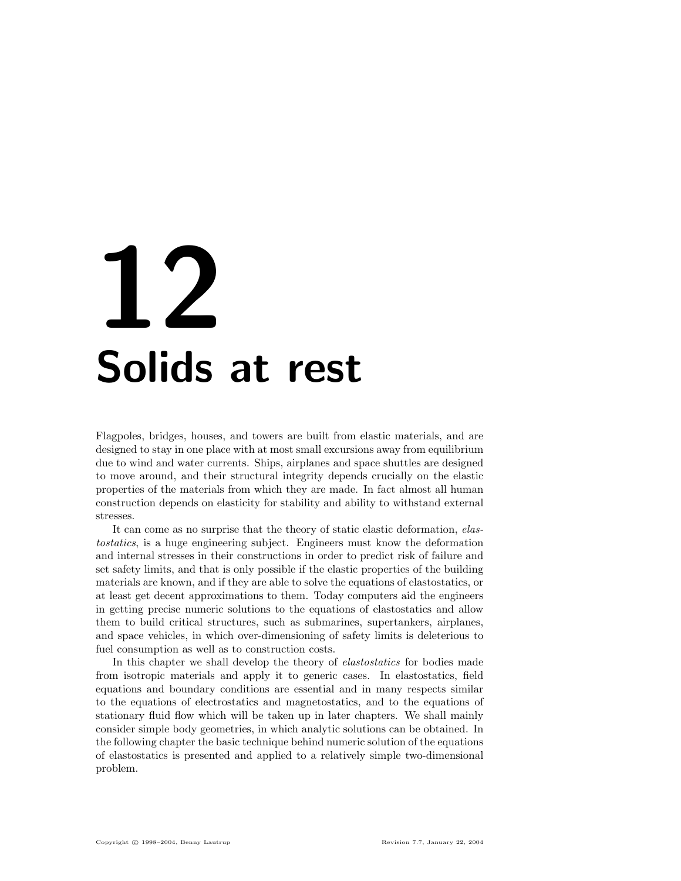# 12 Solids at rest

Flagpoles, bridges, houses, and towers are built from elastic materials, and are designed to stay in one place with at most small excursions away from equilibrium due to wind and water currents. Ships, airplanes and space shuttles are designed to move around, and their structural integrity depends crucially on the elastic properties of the materials from which they are made. In fact almost all human construction depends on elasticity for stability and ability to withstand external stresses.

It can come as no surprise that the theory of static elastic deformation, elastostatics, is a huge engineering subject. Engineers must know the deformation and internal stresses in their constructions in order to predict risk of failure and set safety limits, and that is only possible if the elastic properties of the building materials are known, and if they are able to solve the equations of elastostatics, or at least get decent approximations to them. Today computers aid the engineers in getting precise numeric solutions to the equations of elastostatics and allow them to build critical structures, such as submarines, supertankers, airplanes, and space vehicles, in which over-dimensioning of safety limits is deleterious to fuel consumption as well as to construction costs.

In this chapter we shall develop the theory of elastostatics for bodies made from isotropic materials and apply it to generic cases. In elastostatics, field equations and boundary conditions are essential and in many respects similar to the equations of electrostatics and magnetostatics, and to the equations of stationary fluid flow which will be taken up in later chapters. We shall mainly consider simple body geometries, in which analytic solutions can be obtained. In the following chapter the basic technique behind numeric solution of the equations of elastostatics is presented and applied to a relatively simple two-dimensional problem.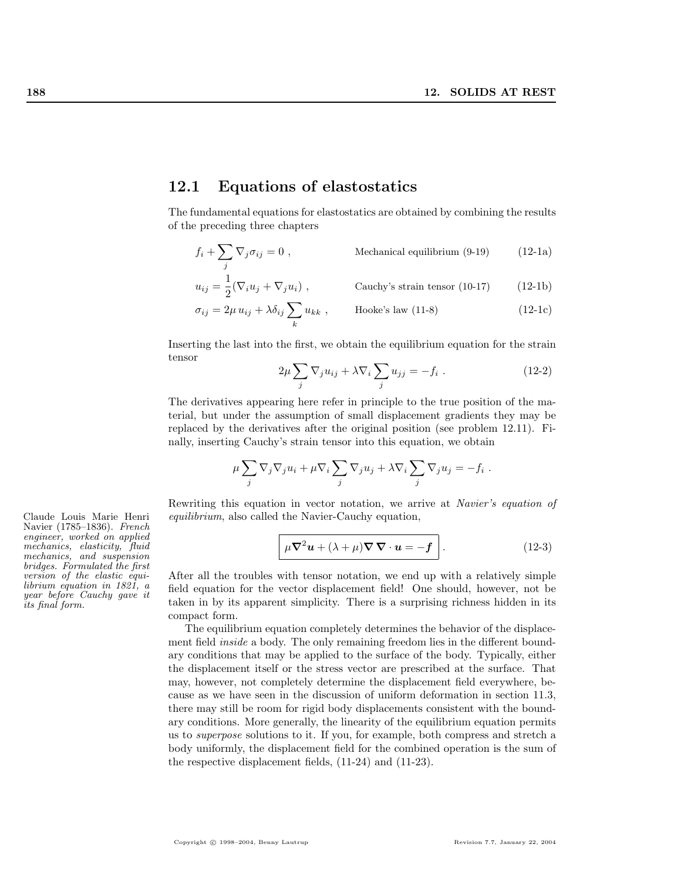# 12.1 Equations of elastostatics

The fundamental equations for elastostatics are obtained by combining the results of the preceding three chapters

$$
f_i + \sum_j \nabla_j \sigma_{ij} = 0 ,
$$
 Mechanical equilibrium (9-19) (12-1a)

$$
u_{ij} = \frac{1}{2} (\nabla_i u_j + \nabla_j u_i) ,
$$
 Cauchy's strain tensor (10-17) (12-1b)

$$
\sigma_{ij} = 2\mu u_{ij} + \lambda \delta_{ij} \sum_{k} u_{kk} , \qquad \text{Hooke's law (11-8)}
$$
 (12-1c)

Inserting the last into the first, we obtain the equilibrium equation for the strain tensor  $\overline{\phantom{a}}$  $\overline{\phantom{a}}$ 

$$
2\mu \sum_{j} \nabla_j u_{ij} + \lambda \nabla_i \sum_{j} u_{jj} = -f_i . \qquad (12-2)
$$

The derivatives appearing here refer in principle to the true position of the material, but under the assumption of small displacement gradients they may be replaced by the derivatives after the original position (see problem 12.11). Finally, inserting Cauchy's strain tensor into this equation, we obtain

$$
\mu \sum_j \nabla_j \nabla_j u_i + \mu \nabla_i \sum_j \nabla_j u_j + \lambda \nabla_i \sum_j \nabla_j u_j = -f_i.
$$

Rewriting this equation in vector notation, we arrive at Navier's equation of Claude Louis Marie Henri equilibrium, also called the Navier-Cauchy equation,

$$
\mu \nabla^2 \boldsymbol{u} + (\lambda + \mu) \nabla \nabla \cdot \boldsymbol{u} = -\boldsymbol{f} \tag{12-3}
$$

After all the troubles with tensor notation, we end up with a relatively simple field equation for the vector displacement field! One should, however, not be taken in by its apparent simplicity. There is a surprising richness hidden in its compact form.

The equilibrium equation completely determines the behavior of the displacement field *inside* a body. The only remaining freedom lies in the different boundary conditions that may be applied to the surface of the body. Typically, either the displacement itself or the stress vector are prescribed at the surface. That may, however, not completely determine the displacement field everywhere, because as we have seen in the discussion of uniform deformation in section 11.3, there may still be room for rigid body displacements consistent with the boundary conditions. More generally, the linearity of the equilibrium equation permits us to superpose solutions to it. If you, for example, both compress and stretch a body uniformly, the displacement field for the combined operation is the sum of the respective displacement fields, (11-24) and (11-23).

Navier (1785–1836). French engineer, worked on applied mechanics, elasticity, fluid mechanics, and suspension bridges. Formulated the first version of the elastic equilibrium equation in 1821, a year before Cauchy gave it its final form.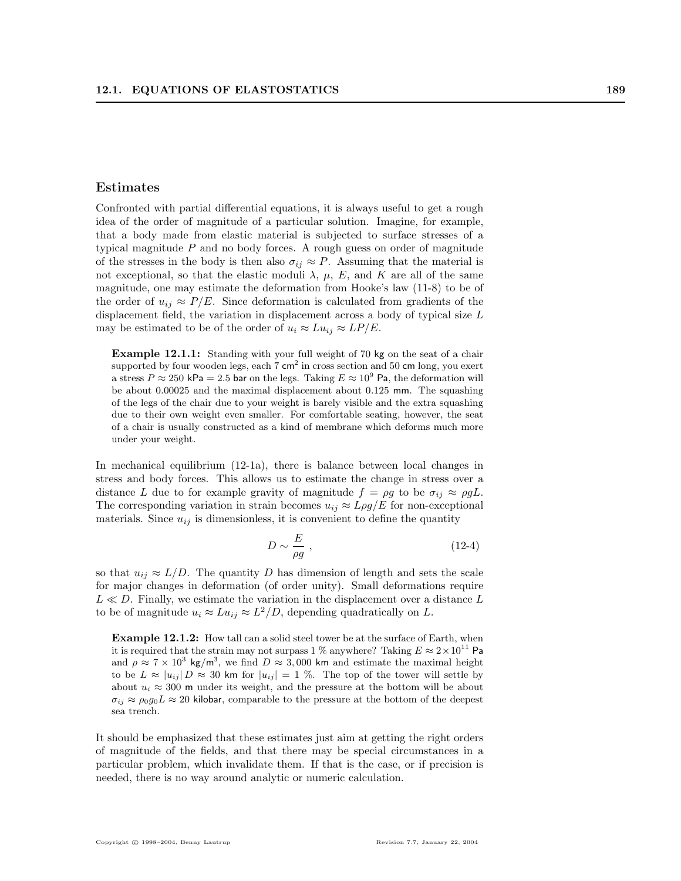#### Estimates

Confronted with partial differential equations, it is always useful to get a rough idea of the order of magnitude of a particular solution. Imagine, for example, that a body made from elastic material is subjected to surface stresses of a typical magnitude  $P$  and no body forces. A rough guess on order of magnitude of the stresses in the body is then also  $\sigma_{ij} \approx P$ . Assuming that the material is not exceptional, so that the elastic moduli  $\lambda$ ,  $\mu$ , E, and K are all of the same magnitude, one may estimate the deformation from Hooke's law (11-8) to be of the order of  $u_{ij} \approx P/E$ . Since deformation is calculated from gradients of the displacement field, the variation in displacement across a body of typical size L may be estimated to be of the order of  $u_i \approx L u_{ij} \approx L P / E$ .

Example 12.1.1: Standing with your full weight of 70 kg on the seat of a chair supported by four wooden legs, each  $7 \text{ cm}^2$  in cross section and  $50 \text{ cm}$  long, you exert a stress  $P \approx 250$  kPa = 2.5 bar on the legs. Taking  $E \approx 10^9$  Pa, the deformation will be about 0.00025 and the maximal displacement about 0.125 mm. The squashing of the legs of the chair due to your weight is barely visible and the extra squashing due to their own weight even smaller. For comfortable seating, however, the seat of a chair is usually constructed as a kind of membrane which deforms much more under your weight.

In mechanical equilibrium (12-1a), there is balance between local changes in stress and body forces. This allows us to estimate the change in stress over a distance L due to for example gravity of magnitude  $f = \rho g$  to be  $\sigma_{ii} \approx \rho g L$ . The corresponding variation in strain becomes  $u_{ij} \approx L \rho g / E$  for non-exceptional materials. Since  $u_{ij}$  is dimensionless, it is convenient to define the quantity

$$
D \sim \frac{E}{\rho g} \,,\tag{12-4}
$$

so that  $u_{ij} \approx L/D$ . The quantity D has dimension of length and sets the scale for major changes in deformation (of order unity). Small deformations require  $L \ll D$ . Finally, we estimate the variation in the displacement over a distance L to be of magnitude  $u_i \approx Lu_{ij} \approx L^2/D$ , depending quadratically on L.

Example 12.1.2: How tall can a solid steel tower be at the surface of Earth, when it is required that the strain may not surpass 1 % anywhere? Taking  $E \approx 2 \times 10^{11}$  Pa and  $\rho \approx 7 \times 10^3$  kg/m<sup>3</sup>, we find  $D \approx 3,000$  km and estimate the maximal height to be  $L \approx |u_{ij}| D \approx 30$  km for  $|u_{ij}| = 1$  %. The top of the tower will settle by about  $u_i \approx 300$  m under its weight, and the pressure at the bottom will be about  $\sigma_{ij} \approx \rho_0 g_0 L \approx 20$  kilobar, comparable to the pressure at the bottom of the deepest sea trench.

It should be emphasized that these estimates just aim at getting the right orders of magnitude of the fields, and that there may be special circumstances in a particular problem, which invalidate them. If that is the case, or if precision is needed, there is no way around analytic or numeric calculation.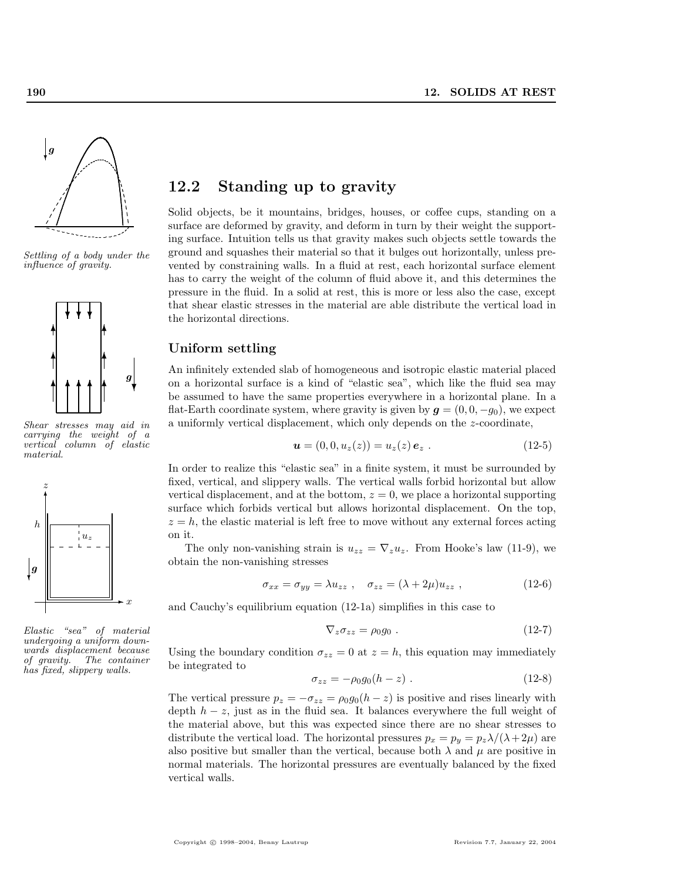

Settling of a body under the influence of gravity.



Shear stresses may aid in carrying the weight of a vertical column of elastic material.



Elastic "sea" of material undergoing a uniform downwards displacement because of gravity. The container has fixed, slippery walls.

# 12.2 Standing up to gravity

Solid objects, be it mountains, bridges, houses, or coffee cups, standing on a surface are deformed by gravity, and deform in turn by their weight the supporting surface. Intuition tells us that gravity makes such objects settle towards the ground and squashes their material so that it bulges out horizontally, unless prevented by constraining walls. In a fluid at rest, each horizontal surface element has to carry the weight of the column of fluid above it, and this determines the pressure in the fluid. In a solid at rest, this is more or less also the case, except that shear elastic stresses in the material are able distribute the vertical load in the horizontal directions.

#### Uniform settling

An infinitely extended slab of homogeneous and isotropic elastic material placed on a horizontal surface is a kind of "elastic sea", which like the fluid sea may be assumed to have the same properties everywhere in a horizontal plane. In a flat-Earth coordinate system, where gravity is given by  $g = (0, 0, -g_0)$ , we expect a uniformly vertical displacement, which only depends on the z-coordinate,

$$
\mathbf{u} = (0, 0, u_z(z)) = u_z(z) \, \mathbf{e}_z \,. \tag{12-5}
$$

In order to realize this "elastic sea" in a finite system, it must be surrounded by fixed, vertical, and slippery walls. The vertical walls forbid horizontal but allow vertical displacement, and at the bottom,  $z = 0$ , we place a horizontal supporting surface which forbids vertical but allows horizontal displacement. On the top,  $z = h$ , the elastic material is left free to move without any external forces acting on it.

The only non-vanishing strain is  $u_{zz} = \nabla_z u_z$ . From Hooke's law (11-9), we obtain the non-vanishing stresses

$$
\sigma_{xx} = \sigma_{yy} = \lambda u_{zz} , \quad \sigma_{zz} = (\lambda + 2\mu) u_{zz} , \qquad (12-6)
$$

and Cauchy's equilibrium equation (12-1a) simplifies in this case to

$$
\nabla_z \sigma_{zz} = \rho_0 g_0 \tag{12-7}
$$

Using the boundary condition  $\sigma_{zz} = 0$  at  $z = h$ , this equation may immediately be integrated to

$$
\sigma_{zz} = -\rho_0 g_0 (h - z) \tag{12-8}
$$

The vertical pressure  $p_z = -\sigma_{zz} = \rho_0 g_0(h - z)$  is positive and rises linearly with depth  $h - z$ , just as in the fluid sea. It balances everywhere the full weight of the material above, but this was expected since there are no shear stresses to distribute the vertical load. The horizontal pressures  $p_x = p_y = p_z \lambda/(\lambda + 2\mu)$  are also positive but smaller than the vertical, because both  $\lambda$  and  $\mu$  are positive in normal materials. The horizontal pressures are eventually balanced by the fixed vertical walls.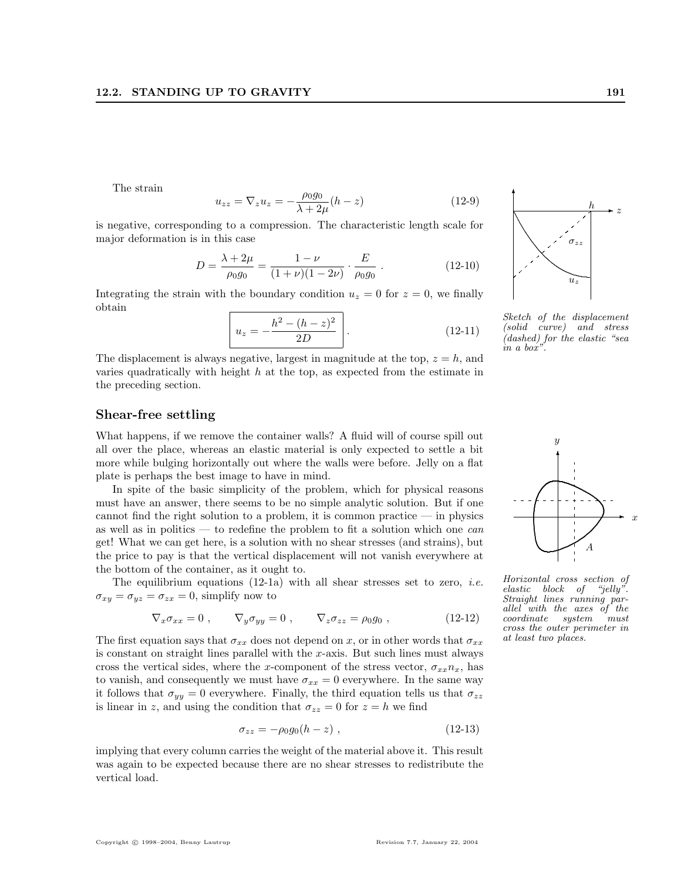The strain

$$
u_{zz} = \nabla_z u_z = -\frac{\rho_0 g_0}{\lambda + 2\mu} (h - z)
$$
 (12-9)

is negative, corresponding to a compression. The characteristic length scale for major deformation is in this case

$$
D = \frac{\lambda + 2\mu}{\rho_0 g_0} = \frac{1 - \nu}{(1 + \nu)(1 - 2\nu)} \cdot \frac{E}{\rho_0 g_0} \,. \tag{12-10}
$$

Integrating the strain with the boundary condition  $u_z = 0$  for  $z = 0$ , we finally obtain

$$
u_z = -\frac{h^2 - (h - z)^2}{2D} \qquad (12-11)
$$

The displacement is always negative, largest in magnitude at the top,  $z = h$ , and varies quadratically with height  $h$  at the top, as expected from the estimate in the preceding section.

#### Shear-free settling

What happens, if we remove the container walls? A fluid will of course spill out all over the place, whereas an elastic material is only expected to settle a bit more while bulging horizontally out where the walls were before. Jelly on a flat plate is perhaps the best image to have in mind.

In spite of the basic simplicity of the problem, which for physical reasons must have an answer, there seems to be no simple analytic solution. But if one cannot find the right solution to a problem, it is common practice — in physics as well as in politics — to redefine the problem to fit a solution which one  $can$ get! What we can get here, is a solution with no shear stresses (and strains), but the price to pay is that the vertical displacement will not vanish everywhere at the bottom of the container, as it ought to.

The equilibrium equations  $(12-1a)$  with all shear stresses set to zero, *i.e.*  $\sigma_{xy} = \sigma_{yz} = \sigma_{zx} = 0$ , simplify now to

$$
\nabla_x \sigma_{xx} = 0 , \qquad \nabla_y \sigma_{yy} = 0 , \qquad \nabla_z \sigma_{zz} = \rho_0 g_0 , \qquad (12-12)
$$

The first equation says that  $\sigma_{xx}$  does not depend on x, or in other words that  $\sigma_{xx}$ is constant on straight lines parallel with the  $x$ -axis. But such lines must always cross the vertical sides, where the x-component of the stress vector,  $\sigma_{xx}n_x$ , has to vanish, and consequently we must have  $\sigma_{xx} = 0$  everywhere. In the same way it follows that  $\sigma_{yy} = 0$  everywhere. Finally, the third equation tells us that  $\sigma_{zz}$ is linear in z, and using the condition that  $\sigma_{zz} = 0$  for  $z = h$  we find

$$
\sigma_{zz} = -\rho_0 g_0 (h - z) \tag{12-13}
$$

implying that every column carries the weight of the material above it. This result was again to be expected because there are no shear stresses to redistribute the vertical load.



Sketch of the displacement (solid curve) and stress (dashed) for the elastic "sea in a box".



Horizontal cross section of elastic block of "jelly". Straight lines running parallel with the axes of the coordinate system must cross the outer perimeter in at least two places.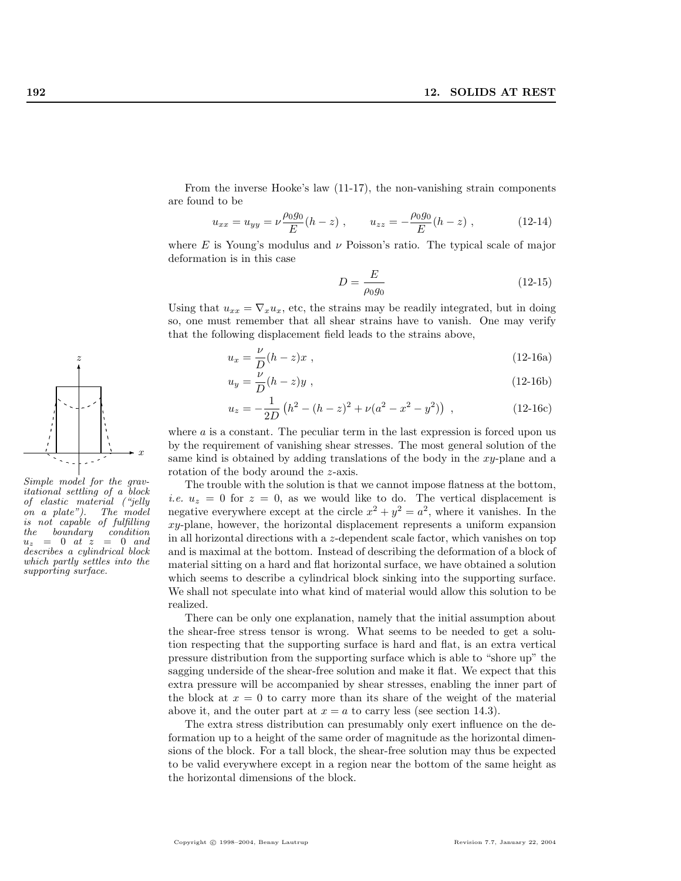From the inverse Hooke's law (11-17), the non-vanishing strain components are found to be

$$
u_{xx} = u_{yy} = \nu \frac{\rho_0 g_0}{E} (h - z) , \qquad u_{zz} = -\frac{\rho_0 g_0}{E} (h - z) , \qquad (12-14)
$$

where E is Young's modulus and  $\nu$  Poisson's ratio. The typical scale of major deformation is in this case

$$
D = \frac{E}{\rho_0 g_0} \tag{12-15}
$$

Using that  $u_{xx} = \nabla_x u_x$ , etc, the strains may be readily integrated, but in doing so, one must remember that all shear strains have to vanish. One may verify that the following displacement field leads to the strains above,

$$
u_x = \frac{\nu}{D}(h - z)x \tag{12-16a}
$$

$$
u_y = \frac{\nu}{D}(h-z)y \tag{12-16b}
$$

$$
u_z = -\frac{1}{2D} \left( h^2 - (h - z)^2 + \nu (a^2 - x^2 - y^2) \right) , \qquad (12-16c)
$$

where  $\alpha$  is a constant. The peculiar term in the last expression is forced upon us by the requirement of vanishing shear stresses. The most general solution of the same kind is obtained by adding translations of the body in the  $xy$ -plane and a rotation of the body around the z-axis.

The trouble with the solution is that we cannot impose flatness at the bottom, *i.e.*  $u_z = 0$  for  $z = 0$ , as we would like to do. The vertical displacement is negative everywhere except at the circle  $x^2 + y^2 = a^2$ , where it vanishes. In the  $xy$ -plane, however, the horizontal displacement represents a uniform expansion in all horizontal directions with a z-dependent scale factor, which vanishes on top and is maximal at the bottom. Instead of describing the deformation of a block of material sitting on a hard and flat horizontal surface, we have obtained a solution which seems to describe a cylindrical block sinking into the supporting surface. We shall not speculate into what kind of material would allow this solution to be realized.

There can be only one explanation, namely that the initial assumption about the shear-free stress tensor is wrong. What seems to be needed to get a solution respecting that the supporting surface is hard and flat, is an extra vertical pressure distribution from the supporting surface which is able to "shore up" the sagging underside of the shear-free solution and make it flat. We expect that this extra pressure will be accompanied by shear stresses, enabling the inner part of the block at  $x = 0$  to carry more than its share of the weight of the material above it, and the outer part at  $x = a$  to carry less (see section 14.3).

The extra stress distribution can presumably only exert influence on the deformation up to a height of the same order of magnitude as the horizontal dimensions of the block. For a tall block, the shear-free solution may thus be expected to be valid everywhere except in a region near the bottom of the same height as the horizontal dimensions of the block.



Simple model for the gravitational settling of a block of elastic material ("jelly on a plate"). The model  $is \tnot \t^c \tcap capable \tof \tfulfilling \tthe \t\t\t boundary \t\t\t\t condition$  $boundary$  $= 0$  at  $z = 0$  and describes a cylindrical block which partly settles into the supporting surface.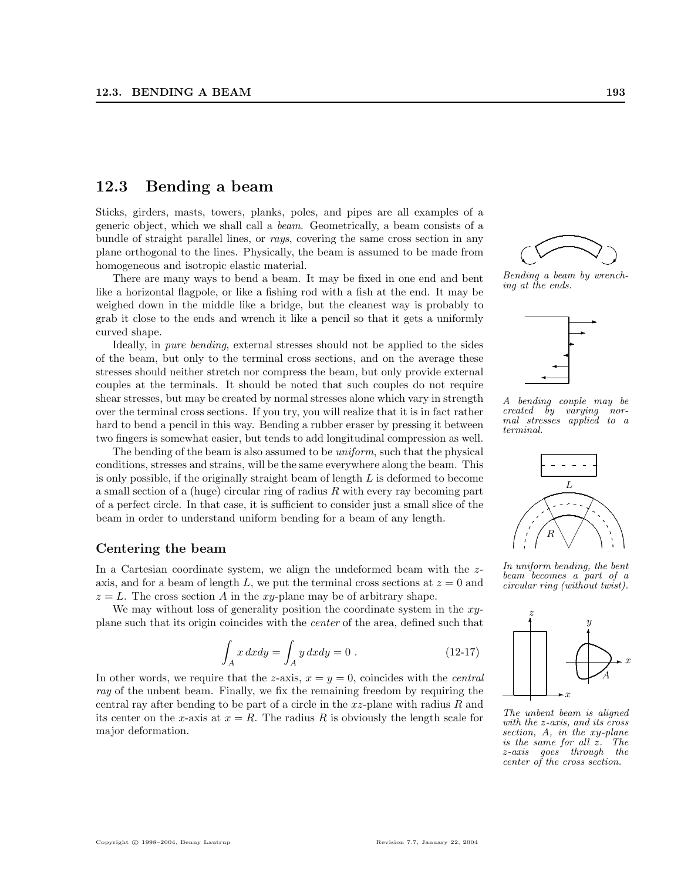# 12.3 Bending a beam

Sticks, girders, masts, towers, planks, poles, and pipes are all examples of a generic object, which we shall call a beam. Geometrically, a beam consists of a bundle of straight parallel lines, or rays, covering the same cross section in any plane orthogonal to the lines. Physically, the beam is assumed to be made from homogeneous and isotropic elastic material.

There are many ways to bend a beam. It may be fixed in one end and bent like a horizontal flagpole, or like a fishing rod with a fish at the end. It may be weighed down in the middle like a bridge, but the cleanest way is probably to grab it close to the ends and wrench it like a pencil so that it gets a uniformly curved shape.

Ideally, in pure bending, external stresses should not be applied to the sides of the beam, but only to the terminal cross sections, and on the average these stresses should neither stretch nor compress the beam, but only provide external couples at the terminals. It should be noted that such couples do not require shear stresses, but may be created by normal stresses alone which vary in strength over the terminal cross sections. If you try, you will realize that it is in fact rather hard to bend a pencil in this way. Bending a rubber eraser by pressing it between two fingers is somewhat easier, but tends to add longitudinal compression as well.

The bending of the beam is also assumed to be *uniform*, such that the physical conditions, stresses and strains, will be the same everywhere along the beam. This is only possible, if the originally straight beam of length L is deformed to become a small section of a (huge) circular ring of radius  $R$  with every ray becoming part of a perfect circle. In that case, it is sufficient to consider just a small slice of the beam in order to understand uniform bending for a beam of any length.

#### Centering the beam

In a Cartesian coordinate system, we align the undeformed beam with the zaxis, and for a beam of length L, we put the terminal cross sections at  $z = 0$  and  $z = L$ . The cross section A in the xy-plane may be of arbitrary shape.

We may without loss of generality position the coordinate system in the  $xy$ plane such that its origin coincides with the *center* of the area, defined such that

$$
\int_{A} x \, dxdy = \int_{A} y \, dxdy = 0 \tag{12-17}
$$

In other words, we require that the z-axis,  $x = y = 0$ , coincides with the *central* ray of the unbent beam. Finally, we fix the remaining freedom by requiring the central ray after bending to be part of a circle in the  $xz$ -plane with radius  $R$  and its center on the x-axis at  $x = R$ . The radius R is obviously the length scale for major deformation.



Bending a beam by wrenching at the ends.



A bending couple may be created by varying normal stresses applied to a terminal.



In uniform bending, the bent beam becomes a part of a circular ring (without twist).



The unbent beam is aligned with the z-axis, and its cross section, A, in the xy-plane is the same for all z. The z-axis goes through the center of the cross section.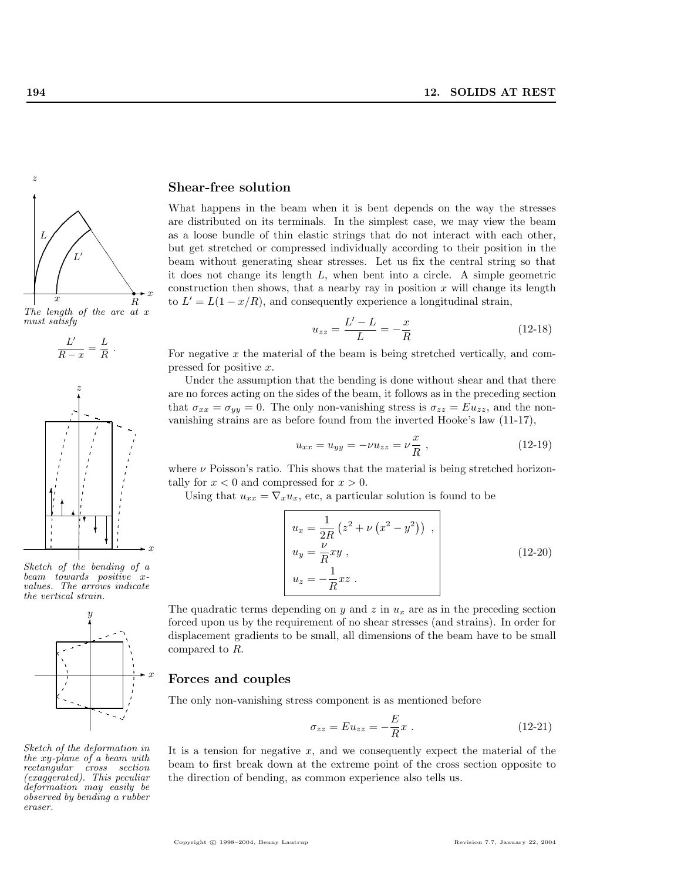![](_page_7_Figure_1.jpeg)

The length of the arc at  $x$ must satisfy

$$
\frac{L'}{R-x} = \frac{L}{R} .
$$

![](_page_7_Figure_4.jpeg)

Sketch of the bending of a beam towards positive xvalues. The arrows indicate the vertical strain.

![](_page_7_Figure_6.jpeg)

Sketch of the deformation in the xy-plane of a beam with rectangular cross section (exaggerated). This peculiar deformation may easily be observed by bending a rubber eraser.

#### Shear-free solution

What happens in the beam when it is bent depends on the way the stresses are distributed on its terminals. In the simplest case, we may view the beam as a loose bundle of thin elastic strings that do not interact with each other, but get stretched or compressed individually according to their position in the beam without generating shear stresses. Let us fix the central string so that it does not change its length  $L$ , when bent into a circle. A simple geometric construction then shows, that a nearby ray in position  $x$  will change its length to  $L' = L(1 - x/R)$ , and consequently experience a longitudinal strain,

$$
u_{zz} = \frac{L' - L}{L} = -\frac{x}{R}
$$
 (12-18)

For negative  $x$  the material of the beam is being stretched vertically, and compressed for positive x.

Under the assumption that the bending is done without shear and that there are no forces acting on the sides of the beam, it follows as in the preceding section that  $\sigma_{xx} = \sigma_{yy} = 0$ . The only non-vanishing stress is  $\sigma_{zz} = E u_{zz}$ , and the nonvanishing strains are as before found from the inverted Hooke's law (11-17),

$$
u_{xx} = u_{yy} = -\nu u_{zz} = \nu \frac{x}{R} , \qquad (12-19)
$$

where  $\nu$  Poisson's ratio. This shows that the material is being stretched horizontally for  $x < 0$  and compressed for  $x > 0$ .

Using that  $u_{xx} = \nabla_x u_x$ , etc, a particular solution is found to be

$$
u_x = \frac{1}{2R} \left( z^2 + \nu \left( x^2 - y^2 \right) \right) ,
$$
  
\n
$$
u_y = \frac{\nu}{R} xy ,
$$
  
\n
$$
u_z = -\frac{1}{R} xz .
$$
\n(12-20)

The quadratic terms depending on y and z in  $u_x$  are as in the preceding section forced upon us by the requirement of no shear stresses (and strains). In order for displacement gradients to be small, all dimensions of the beam have to be small compared to R.

#### Forces and couples

The only non-vanishing stress component is as mentioned before

$$
\sigma_{zz} = Eu_{zz} = -\frac{E}{R}x \tag{12-21}
$$

It is a tension for negative  $x$ , and we consequently expect the material of the beam to first break down at the extreme point of the cross section opposite to the direction of bending, as common experience also tells us.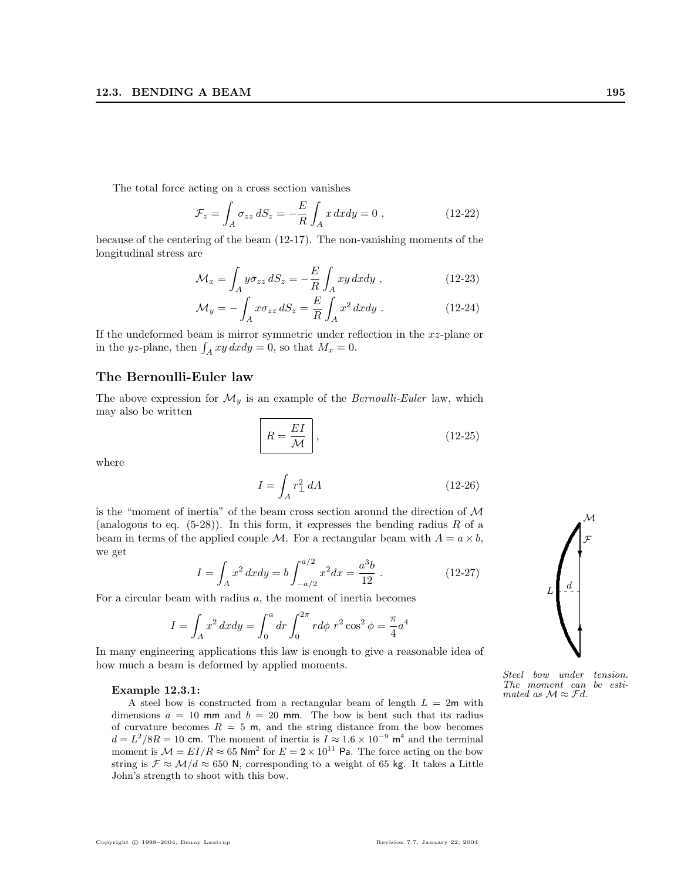The total force acting on a cross section vanishes

$$
\mathcal{F}_z = \int_A \sigma_{zz} dS_z = -\frac{E}{R} \int_A x \, dx dy = 0 , \qquad (12-22)
$$

because of the centering of the beam (12-17). The non-vanishing moments of the longitudinal stress are

$$
\mathcal{M}_x = \int_A y \sigma_{zz} \, dS_z = -\frac{E}{R} \int_A xy \, dxdy \;, \tag{12-23}
$$

$$
\mathcal{M}_y = -\int_A x \sigma_{zz} \, dS_z = \frac{E}{R} \int_A x^2 \, dxdy \; . \tag{12-24}
$$

If the undeformed beam is mirror symmetric under reflection in the xz-plane or If the underormed beam is mirror symmetric under re<br>in the yz-plane, then  $\int_A xy \, dx dy = 0$ , so that  $M_x = 0$ .

#### The Bernoulli-Euler law

The above expression for  $\mathcal{M}_y$  is an example of the *Bernoulli-Euler* law, which may also be written

$$
R = \frac{EI}{\mathcal{M}} \,, \tag{12-25}
$$

where

$$
I = \int_{A} r_{\perp}^{2} dA \qquad (12-26)
$$

is the "moment of inertia" of the beam cross section around the direction of M (analogous to eq.  $(5-28)$ ). In this form, it expresses the bending radius R of a beam in terms of the applied couple M. For a rectangular beam with  $A = a \times b$ , we get

$$
I = \int_{A} x^{2} dx dy = b \int_{-a/2}^{a/2} x^{2} dx = \frac{a^{3}b}{12} .
$$
 (12-27)

For a circular beam with radius  $a$ , the moment of inertia becomes

$$
I = \int_{A} x^{2} dx dy = \int_{0}^{a} dr \int_{0}^{2\pi} r d\phi \ r^{2} \cos^{2} \phi = \frac{\pi}{4} a^{4}
$$

In many engineering applications this law is enough to give a reasonable idea of how much a beam is deformed by applied moments.

A steel bow is constructed from a rectangular beam of length  $L = 2m$  with dimensions  $a = 10$  mm and  $b = 20$  mm. The bow is bent such that its radius of curvature becomes  $R = 5$  m, and the string distance from the bow becomes  $d = L^2/8R = 10$  cm. The moment of inertia is  $I \approx 1.6 \times 10^{-9}$  m<sup>4</sup> and the terminal moment is  $\mathcal{M} = EI/R \approx 65$  Nm<sup>2</sup> for  $E = 2 \times 10^{11}$  Pa. The force acting on the bow string is  $\mathcal{F} \approx \mathcal{M}/d \approx 650$  N, corresponding to a weight of 65 kg. It takes a Little John's strength to shoot with this bow.

![](_page_8_Figure_19.jpeg)

Steel bow under tension. **Example 12.3.1:** The moment can be esti-<br>mated as  $M \approx \mathcal{F}d$ .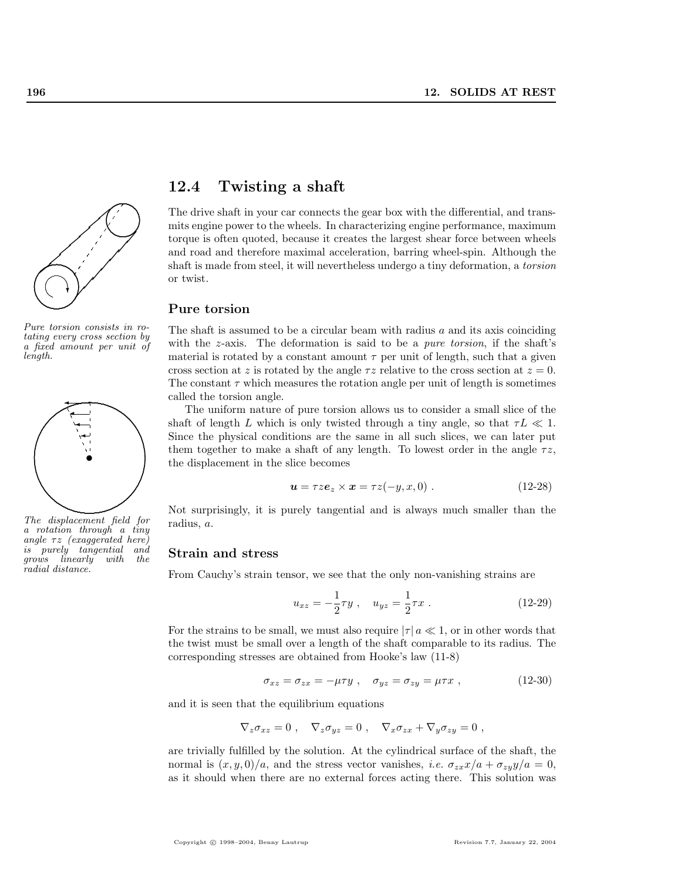![](_page_9_Picture_1.jpeg)

Pure torsion consists in rotating every cross section by a fixed amount per unit of length.

![](_page_9_Figure_3.jpeg)

The displacement field for a rotation through a tiny angle τz (exaggerated here) is purely tangential and<br>grows linearly with the  $linearly$  with the radial distance.

# 12.4 Twisting a shaft

The drive shaft in your car connects the gear box with the differential, and transmits engine power to the wheels. In characterizing engine performance, maximum torque is often quoted, because it creates the largest shear force between wheels and road and therefore maximal acceleration, barring wheel-spin. Although the shaft is made from steel, it will nevertheless undergo a tiny deformation, a torsion or twist.

#### Pure torsion

The shaft is assumed to be a circular beam with radius  $a$  and its axis coinciding with the z-axis. The deformation is said to be a *pure torsion*, if the shaft's material is rotated by a constant amount  $\tau$  per unit of length, such that a given cross section at z is rotated by the angle  $\tau z$  relative to the cross section at  $z = 0$ . The constant  $\tau$  which measures the rotation angle per unit of length is sometimes called the torsion angle.

The uniform nature of pure torsion allows us to consider a small slice of the shaft of length L which is only twisted through a tiny angle, so that  $\tau L \ll 1$ . Since the physical conditions are the same in all such slices, we can later put them together to make a shaft of any length. To lowest order in the angle  $\tau z$ , the displacement in the slice becomes

$$
\mathbf{u} = \tau z \mathbf{e}_z \times \mathbf{x} = \tau z(-y, x, 0) \tag{12-28}
$$

Not surprisingly, it is purely tangential and is always much smaller than the radius, a.

#### Strain and stress

From Cauchy's strain tensor, we see that the only non-vanishing strains are

$$
u_{xz} = -\frac{1}{2}\tau y \ , \quad u_{yz} = \frac{1}{2}\tau x \ . \tag{12-29}
$$

For the strains to be small, we must also require  $|\tau|$   $\alpha \ll 1$ , or in other words that the twist must be small over a length of the shaft comparable to its radius. The corresponding stresses are obtained from Hooke's law (11-8)

$$
\sigma_{xz} = \sigma_{zx} = -\mu \tau y \ , \quad \sigma_{yz} = \sigma_{zy} = \mu \tau x \ , \tag{12-30}
$$

and it is seen that the equilibrium equations

$$
\nabla_z \sigma_{xz} = 0 \ , \quad \nabla_z \sigma_{yz} = 0 \ , \quad \nabla_x \sigma_{zx} + \nabla_y \sigma_{zy} = 0 \ ,
$$

are trivially fulfilled by the solution. At the cylindrical surface of the shaft, the normal is  $(x, y, 0)/a$ , and the stress vector vanishes, *i.e.*  $\sigma_{xx}x/a + \sigma_{xy}y/a = 0$ , as it should when there are no external forces acting there. This solution was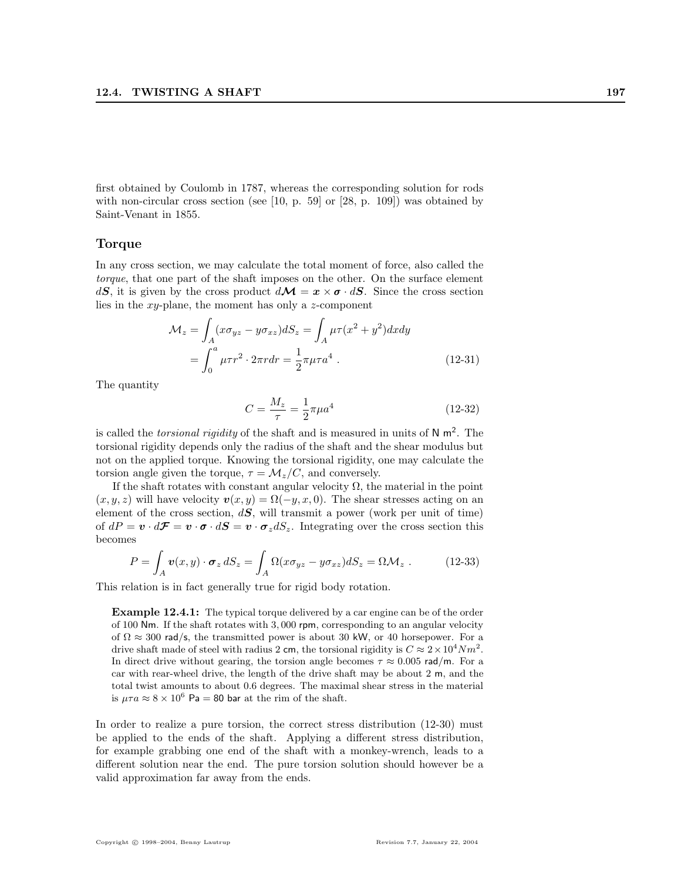first obtained by Coulomb in 1787, whereas the corresponding solution for rods with non-circular cross section (see [10, p. 59] or [28, p. 109]) was obtained by Saint-Venant in 1855.

#### Torque

In any cross section, we may calculate the total moment of force, also called the torque, that one part of the shaft imposes on the other. On the surface element dS, it is given by the cross product  $d\mathcal{M} = x \times \sigma \cdot dS$ . Since the cross section lies in the xy-plane, the moment has only a z-component

$$
\mathcal{M}_z = \int_A (x\sigma_{yz} - y\sigma_{xz})dS_z = \int_A \mu\tau(x^2 + y^2)dxdy
$$

$$
= \int_0^a \mu\tau r^2 \cdot 2\pi r dr = \frac{1}{2}\pi\mu\tau a^4.
$$
(12-31)

The quantity

$$
C = \frac{M_z}{\tau} = \frac{1}{2}\pi\mu a^4
$$
 (12-32)

is called the *torsional rigidity* of the shaft and is measured in units of  $N \, \text{m}^2$ . The torsional rigidity depends only the radius of the shaft and the shear modulus but not on the applied torque. Knowing the torsional rigidity, one may calculate the torsion angle given the torque,  $\tau = \mathcal{M}_z/C$ , and conversely.

If the shaft rotates with constant angular velocity  $\Omega$ , the material in the point  $(x, y, z)$  will have velocity  $v(x, y) = \Omega(-y, x, 0)$ . The shear stresses acting on an element of the cross section,  $dS$ , will transmit a power (work per unit of time) of  $dP = \mathbf{v} \cdot d\mathbf{F} = \mathbf{v} \cdot \mathbf{\sigma} \cdot d\mathbf{S} = \mathbf{v} \cdot \mathbf{\sigma}_z dS_z$ . Integrating over the cross section this becomes

$$
P = \int_{A} \mathbf{v}(x, y) \cdot \boldsymbol{\sigma}_{z} \, dS_{z} = \int_{A} \Omega(x \sigma_{yz} - y \sigma_{xz}) dS_{z} = \Omega \mathcal{M}_{z} . \tag{12-33}
$$

This relation is in fact generally true for rigid body rotation.

Example 12.4.1: The typical torque delivered by a car engine can be of the order of 100 Nm. If the shaft rotates with 3, 000 rpm, corresponding to an angular velocity of  $\Omega \approx 300$  rad/s, the transmitted power is about 30 kW, or 40 horsepower. For a drive shaft made of steel with radius 2 cm, the torsional rigidity is  $C \approx 2 \times 10^4 Nm^2$ . In direct drive without gearing, the torsion angle becomes  $\tau \approx 0.005$  rad/m. For a car with rear-wheel drive, the length of the drive shaft may be about 2 m, and the total twist amounts to about 0.6 degrees. The maximal shear stress in the material is  $\mu \tau a \approx 8 \times 10^6$  Pa = 80 bar at the rim of the shaft.

In order to realize a pure torsion, the correct stress distribution (12-30) must be applied to the ends of the shaft. Applying a different stress distribution, for example grabbing one end of the shaft with a monkey-wrench, leads to a different solution near the end. The pure torsion solution should however be a valid approximation far away from the ends.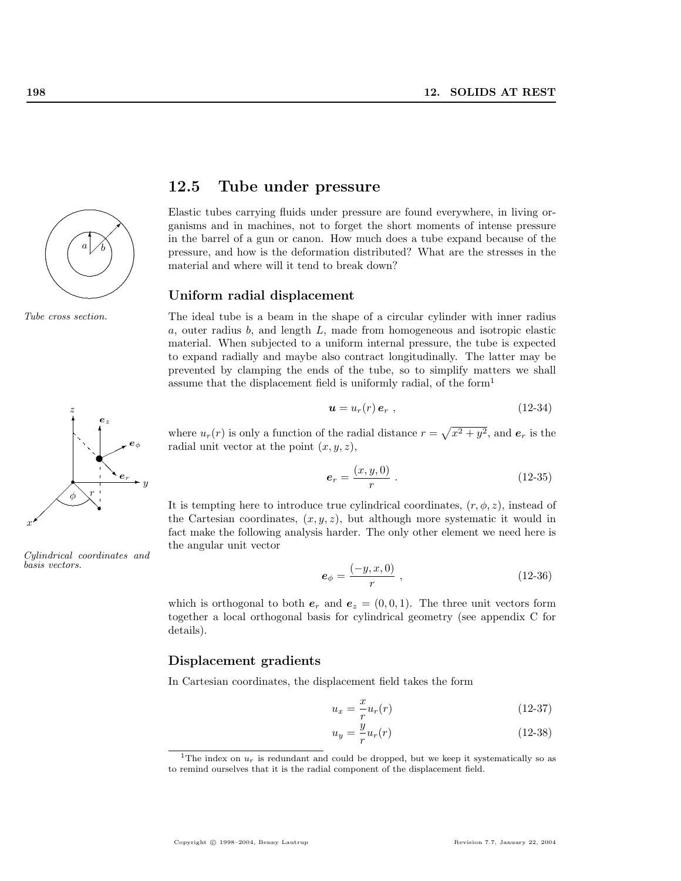![](_page_11_Picture_1.jpeg)

![](_page_11_Figure_3.jpeg)

Cylindrical coordinates and basis vectors.

# 12.5 Tube under pressure

Elastic tubes carrying fluids under pressure are found everywhere, in living organisms and in machines, not to forget the short moments of intense pressure in the barrel of a gun or canon. How much does a tube expand because of the pressure, and how is the deformation distributed? What are the stresses in the material and where will it tend to break down?

#### Uniform radial displacement

Tube cross section. The ideal tube is a beam in the shape of a circular cylinder with inner radius  $a$ , outer radius  $b$ , and length  $L$ , made from homogeneous and isotropic elastic material. When subjected to a uniform internal pressure, the tube is expected to expand radially and maybe also contract longitudinally. The latter may be prevented by clamping the ends of the tube, so to simplify matters we shall assume that the displacement field is uniformly radial, of the form<sup>1</sup>

$$
\mathbf{u} = u_r(r) \, \mathbf{e}_r \;, \tag{12-34}
$$

where  $u_r(r)$  is only a function of the radial distance  $r =$ p  $x^2 + y^2$ , and  $e_r$  is the radial unit vector at the point  $(x, y, z)$ ,

$$
e_r = \frac{(x, y, 0)}{r} \; . \tag{12-35}
$$

It is tempting here to introduce true cylindrical coordinates,  $(r, \phi, z)$ , instead of the Cartesian coordinates,  $(x, y, z)$ , but although more systematic it would in fact make the following analysis harder. The only other element we need here is the angular unit vector

$$
e_{\phi} = \frac{(-y, x, 0)}{r} , \qquad (12-36)
$$

which is orthogonal to both  $e_r$  and  $e_z = (0, 0, 1)$ . The three unit vectors form together a local orthogonal basis for cylindrical geometry (see appendix C for details).

#### Displacement gradients

In Cartesian coordinates, the displacement field takes the form

$$
u_x = -\frac{x}{r}u_r(r) \tag{12-37}
$$

$$
u_y = \frac{y}{r}u_r(r) \tag{12-38}
$$

<sup>&</sup>lt;sup>1</sup>The index on  $u_r$  is redundant and could be dropped, but we keep it systematically so as to remind ourselves that it is the radial component of the displacement field.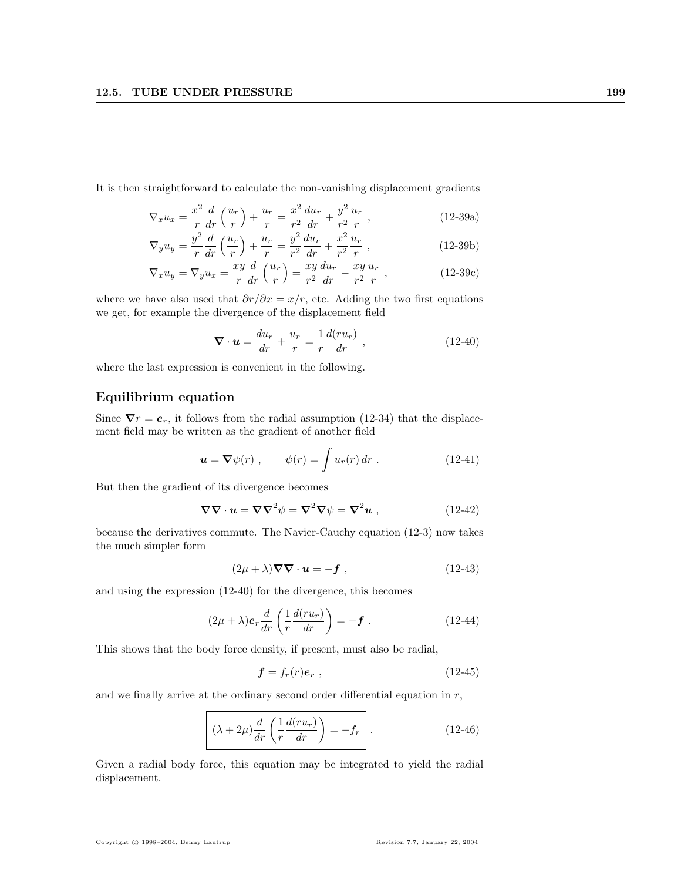It is then straightforward to calculate the non-vanishing displacement gradients

$$
\nabla_x u_x = \frac{x^2}{r} \frac{d}{dr} \left( \frac{u_r}{r} \right) + \frac{u_r}{r} = \frac{x^2}{r^2} \frac{du_r}{dr} + \frac{y^2}{r^2} \frac{u_r}{r} ,
$$
\n(12-39a)

$$
\nabla_y u_y = \frac{y^2}{r} \frac{d}{dr} \left( \frac{u_r}{r} \right) + \frac{u_r}{r} = \frac{y^2}{r^2} \frac{du_r}{dr} + \frac{x^2}{r^2} \frac{u_r}{r},
$$
(12-39b)

$$
\nabla_x u_y = \nabla_y u_x = \frac{xy}{r} \frac{d}{dr} \left( \frac{u_r}{r} \right) = \frac{xy}{r^2} \frac{du_r}{dr} - \frac{xy}{r^2} \frac{u_r}{r} , \qquad (12-39c)
$$

where we have also used that  $\partial r/\partial x = x/r$ , etc. Adding the two first equations we get, for example the divergence of the displacement field

$$
\nabla \cdot \boldsymbol{u} = \frac{du_r}{dr} + \frac{u_r}{r} = \frac{1}{r} \frac{d(ru_r)}{dr} , \qquad (12-40)
$$

where the last expression is convenient in the following.

## Equilibrium equation

Since  $\nabla r = e_r$ , it follows from the radial assumption (12-34) that the displacement field may be written as the gradient of another field

$$
\mathbf{u} = \nabla \psi(r) , \qquad \psi(r) = \int u_r(r) dr . \qquad (12-41)
$$

But then the gradient of its divergence becomes

$$
\nabla \nabla \cdot \mathbf{u} = \nabla \nabla^2 \psi = \nabla^2 \nabla \psi = \nabla^2 \mathbf{u} , \qquad (12-42)
$$

because the derivatives commute. The Navier-Cauchy equation (12-3) now takes the much simpler form

$$
(2\mu + \lambda)\nabla\nabla \cdot \mathbf{u} = -\mathbf{f} \tag{12-43}
$$

and using the expression (12-40) for the divergence, this becomes

$$
(2\mu + \lambda)e_r \frac{d}{dr} \left(\frac{1}{r} \frac{d(r u_r)}{dr}\right) = -f.
$$
 (12-44)

This shows that the body force density, if present, must also be radial,

$$
\mathbf{f} = f_r(r)\mathbf{e}_r \tag{12-45}
$$

and we finally arrive at the ordinary second order differential equation in  $r$ ,

$$
\left[ (\lambda + 2\mu) \frac{d}{dr} \left( \frac{1}{r} \frac{d(r u_r)}{dr} \right) = -f_r \right].
$$
 (12-46)

Given a radial body force, this equation may be integrated to yield the radial displacement.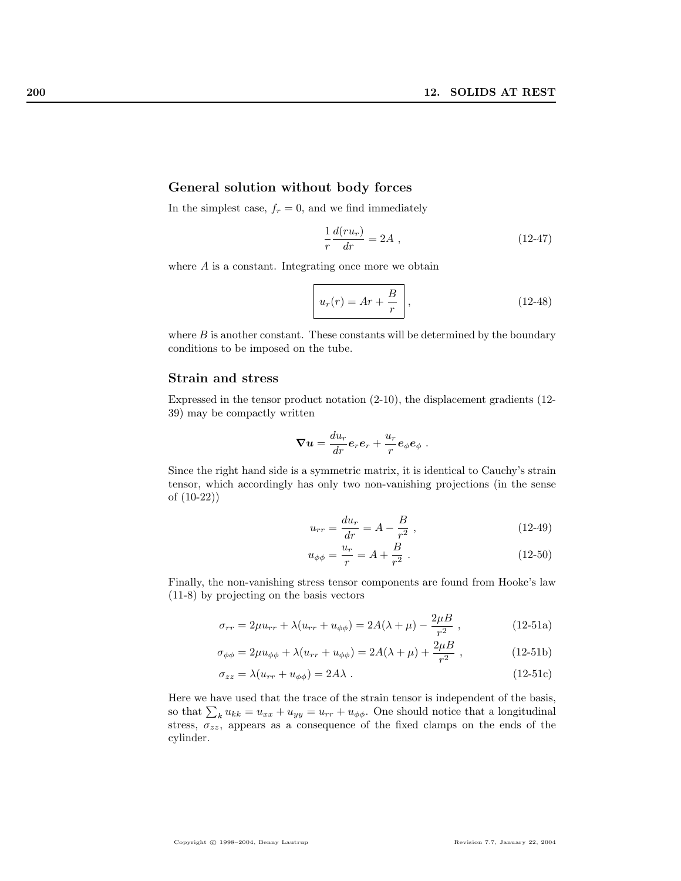#### General solution without body forces

In the simplest case,  $f_r = 0$ , and we find immediately

$$
\frac{1}{r}\frac{d(ru_r)}{dr} = 2A \t{,} \t(12-47)
$$

where  $A$  is a constant. Integrating once more we obtain

$$
u_r(r) = Ar + \frac{B}{r}, \qquad (12-48)
$$

where  $B$  is another constant. These constants will be determined by the boundary conditions to be imposed on the tube.

#### Strain and stress

Expressed in the tensor product notation (2-10), the displacement gradients (12- 39) may be compactly written

$$
\boldsymbol{\nabla} \boldsymbol{u} = \frac{d u_r}{d r} \boldsymbol{e}_r \boldsymbol{e}_r + \frac{u_r}{r} \boldsymbol{e}_\phi \boldsymbol{e}_\phi~.
$$

Since the right hand side is a symmetric matrix, it is identical to Cauchy's strain tensor, which accordingly has only two non-vanishing projections (in the sense of (10-22))

$$
u_{rr} = \frac{du_r}{dr} = A - \frac{B}{r^2} \,,\tag{12-49}
$$

$$
u_{\phi\phi} = \frac{u_r}{r} = A + \frac{B}{r^2} \,. \tag{12-50}
$$

Finally, the non-vanishing stress tensor components are found from Hooke's law (11-8) by projecting on the basis vectors

$$
\sigma_{rr} = 2\mu u_{rr} + \lambda (u_{rr} + u_{\phi\phi}) = 2A(\lambda + \mu) - \frac{2\mu B}{r^2} , \qquad (12-51a)
$$

$$
\sigma_{\phi\phi} = 2\mu u_{\phi\phi} + \lambda (u_{rr} + u_{\phi\phi}) = 2A(\lambda + \mu) + \frac{2\mu B}{r^2} , \qquad (12-51b)
$$

$$
\sigma_{zz} = \lambda (u_{rr} + u_{\phi\phi}) = 2A\lambda \tag{12-51c}
$$

Here we have used that the trace of the strain tensor is independent of the basis, There we have used that the trace of the strain tensor is independent of the basis, so that  $\sum_k u_{kk} = u_{xx} + u_{yy} = u_{rr} + u_{\phi\phi}$ . One should notice that a longitudinal stress,  $\sigma_{zz}$ , appears as a consequence of the fixed clamps on the ends of the cylinder.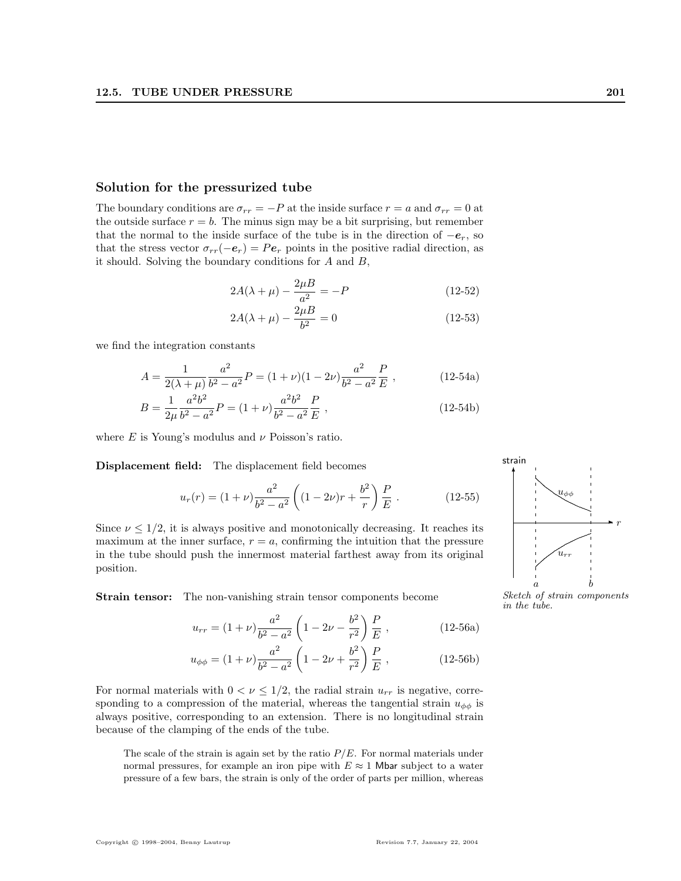#### Solution for the pressurized tube

The boundary conditions are  $\sigma_{rr} = -P$  at the inside surface  $r = a$  and  $\sigma_{rr} = 0$  at the outside surface  $r = b$ . The minus sign may be a bit surprising, but remember that the normal to the inside surface of the tube is in the direction of  $-e_r$ , so that the stress vector  $\sigma_{rr}(-e_r) = Pe_r$  points in the positive radial direction, as it should. Solving the boundary conditions for  $A$  and  $B$ ,

$$
2A(\lambda + \mu) - \frac{2\mu}{a^2} = -P
$$
 (12-52)

$$
2A(\lambda + \mu) - \frac{2\mu}{b^2} = 0
$$
 (12-53)

we find the integration constants

$$
A = \frac{1}{2(\lambda + \mu)} \frac{a^2}{b^2 - a^2} P = (1 + \nu)(1 - 2\nu) \frac{a^2}{b^2 - a^2} \frac{P}{E} ,
$$
 (12-54a)

$$
B = \frac{1}{2\mu} \frac{a^2 b^2}{b^2 - a^2} P = (1 + \nu) \frac{a^2 b^2}{b^2 - a^2} \frac{P}{E} ,
$$
 (12-54b)

where E is Young's modulus and  $\nu$  Poisson's ratio.

Displacement field: The displacement field becomes

$$
u_r(r) = (1+\nu)\frac{a^2}{b^2 - a^2} \left( (1-2\nu)r + \frac{b^2}{r} \right) \frac{P}{E} .
$$
 (12-55)

Since  $\nu \leq 1/2$ , it is always positive and monotonically decreasing. It reaches its maximum at the inner surface,  $r = a$ , confirming the intuition that the pressure in the tube should push the innermost material farthest away from its original position.

Strain tensor: The non-vanishing strain tensor components become

$$
u_{rr} = (1+\nu)\frac{a^2}{b^2 - a^2} \left(1 - 2\nu - \frac{b^2}{r^2}\right) \frac{P}{E} ,
$$
 (12-56a)

$$
u_{\phi\phi} = (1+\nu)\frac{a^2}{b^2 - a^2} \left(1 - 2\nu + \frac{b^2}{r^2}\right)\frac{P}{E},
$$
 (12-56b)

For normal materials with  $0 < \nu \leq 1/2$ , the radial strain  $u_{rr}$  is negative, corresponding to a compression of the material, whereas the tangential strain  $u_{\phi\phi}$  is always positive, corresponding to an extension. There is no longitudinal strain because of the clamping of the ends of the tube.

The scale of the strain is again set by the ratio  $P/E$ . For normal materials under normal pressures, for example an iron pipe with  $E \approx 1$  Mbar subject to a water pressure of a few bars, the strain is only of the order of parts per million, whereas

✻  $\rightarrow$ strain r .  $\overline{\phantom{a}}$ . .<br>.<br>.  $u_{\phi\phi}$  $u_{r}$  $a$  b

Sketch of strain components in the tube.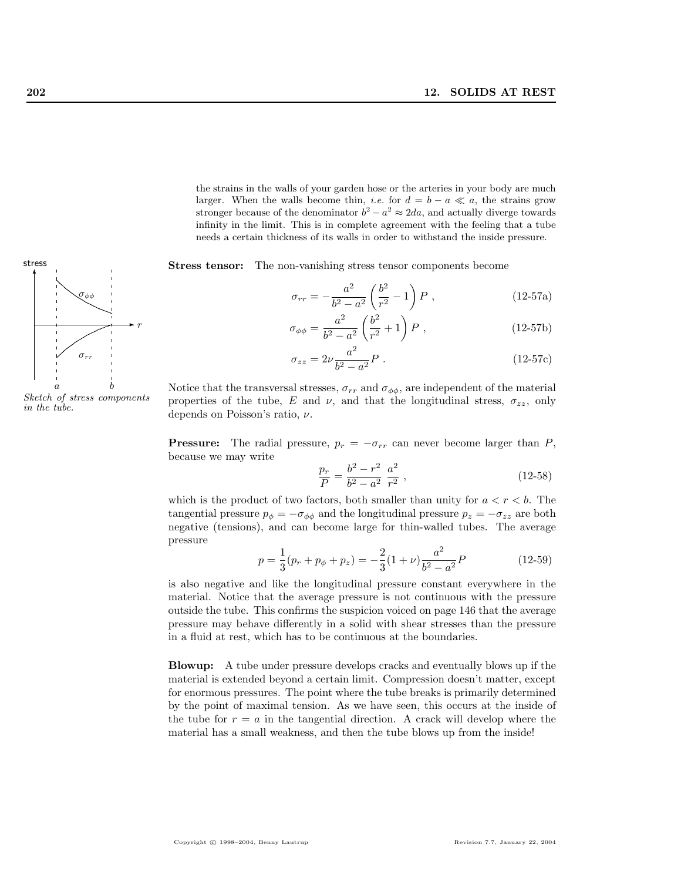the strains in the walls of your garden hose or the arteries in your body are much larger. When the walls become thin, *i.e.* for  $d = b - a \ll a$ , the strains grow stronger because of the denominator  $b^2 - a^2 \approx 2da$ , and actually diverge towards infinity in the limit. This is in complete agreement with the feeling that a tube needs a certain thickness of its walls in order to withstand the inside pressure.

Stress tensor: The non-vanishing stress tensor components become

$$
\sigma_{rr} = -\frac{a^2}{b^2 - a^2} \left(\frac{b^2}{r^2} - 1\right) P \,, \tag{12-57a}
$$

$$
\sigma_{\phi\phi} = \frac{a^2}{b^2 - a^2} \left(\frac{b^2}{r^2} + 1\right) P , \qquad (12-57b)
$$

$$
\sigma_{zz} = 2\nu \frac{a^2}{b^2 - a^2} P \ . \tag{12-57c}
$$

Notice that the transversal stresses,  $\sigma_{rr}$  and  $\sigma_{\phi\phi}$ , are independent of the material properties of the tube, E and  $\nu$ , and that the longitudinal stress,  $\sigma_{zz}$ , only depends on Poisson's ratio, ν.

**Pressure:** The radial pressure,  $p_r = -\sigma_{rr}$  can never become larger than P, because we may write

$$
\frac{p_r}{P} = \frac{b^2 - r^2}{b^2 - a^2} \frac{a^2}{r^2} \,,\tag{12-58}
$$

which is the product of two factors, both smaller than unity for  $a < r < b$ . The tangential pressure  $p_{\phi} = -\sigma_{\phi\phi}$  and the longitudinal pressure  $p_z = -\sigma_{zz}$  are both negative (tensions), and can become large for thin-walled tubes. The average pressure

$$
p = \frac{1}{3}(p_r + p_\phi + p_z) = -\frac{2}{3}(1+\nu)\frac{a^2}{b^2 - a^2}P\tag{12-59}
$$

is also negative and like the longitudinal pressure constant everywhere in the material. Notice that the average pressure is not continuous with the pressure outside the tube. This confirms the suspicion voiced on page 146 that the average pressure may behave differently in a solid with shear stresses than the pressure in a fluid at rest, which has to be continuous at the boundaries.

Blowup: A tube under pressure develops cracks and eventually blows up if the material is extended beyond a certain limit. Compression doesn't matter, except for enormous pressures. The point where the tube breaks is primarily determined by the point of maximal tension. As we have seen, this occurs at the inside of the tube for  $r = a$  in the tangential direction. A crack will develop where the material has a small weakness, and then the tube blows up from the inside!

![](_page_15_Figure_13.jpeg)

Sketch of stress components<br>in the tube.

stress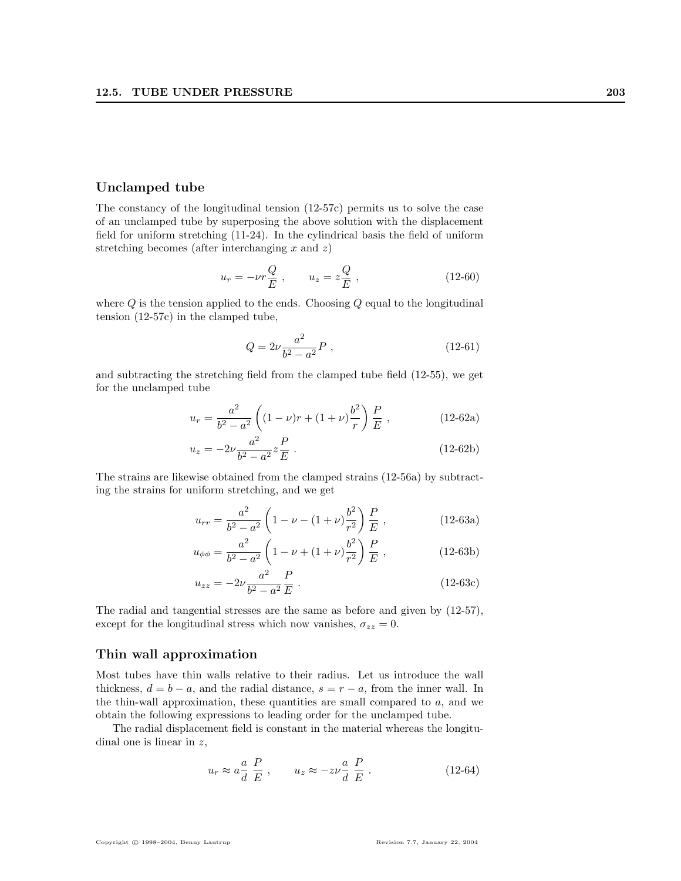#### Unclamped tube

The constancy of the longitudinal tension (12-57c) permits us to solve the case of an unclamped tube by superposing the above solution with the displacement field for uniform stretching (11-24). In the cylindrical basis the field of uniform stretching becomes (after interchanging  $x$  and  $z$ )

$$
u_r = -\nu r \frac{Q}{E} , \qquad u_z = z \frac{Q}{E} , \qquad (12-60)
$$

where  $Q$  is the tension applied to the ends. Choosing  $Q$  equal to the longitudinal tension (12-57c) in the clamped tube,

$$
Q = 2\nu \frac{a^2}{b^2 - a^2} P , \qquad (12-61)
$$

and subtracting the stretching field from the clamped tube field (12-55), we get for the unclamped tube

$$
u_r = \frac{a^2}{b^2 - a^2} \left( (1 - \nu)r + (1 + \nu)\frac{b^2}{r} \right) \frac{P}{E} ,
$$
 (12-62a)

$$
u_z = -2\nu \frac{a^2}{b^2 - a^2} z \frac{P}{E} \,. \tag{12-62b}
$$

The strains are likewise obtained from the clamped strains (12-56a) by subtracting the strains for uniform stretching, and we get

$$
u_{rr} = \frac{a^2}{b^2 - a^2} \left( 1 - \nu - (1 + \nu) \frac{b^2}{r^2} \right) \frac{P}{E} ,
$$
 (12-63a)

$$
u_{\phi\phi} = \frac{a^2}{b^2 - a^2} \left( 1 - \nu + (1 + \nu) \frac{b^2}{r^2} \right) \frac{P}{E} ,
$$
 (12-63b)

$$
u_{zz} = -2\nu \frac{a^2}{b^2 - a^2} \frac{P}{E} \,. \tag{12-63c}
$$

The radial and tangential stresses are the same as before and given by (12-57), except for the longitudinal stress which now vanishes,  $\sigma_{zz} = 0$ .

#### Thin wall approximation

Most tubes have thin walls relative to their radius. Let us introduce the wall thickness,  $d = b - a$ , and the radial distance,  $s = r - a$ , from the inner wall. In the thin-wall approximation, these quantities are small compared to  $a$ , and we obtain the following expressions to leading order for the unclamped tube.

The radial displacement field is constant in the material whereas the longitudinal one is linear in  $z$ ,

$$
u_r \approx a \frac{a}{d} \frac{P}{E} , \qquad u_z \approx -z\nu \frac{a}{d} \frac{P}{E} . \tag{12-64}
$$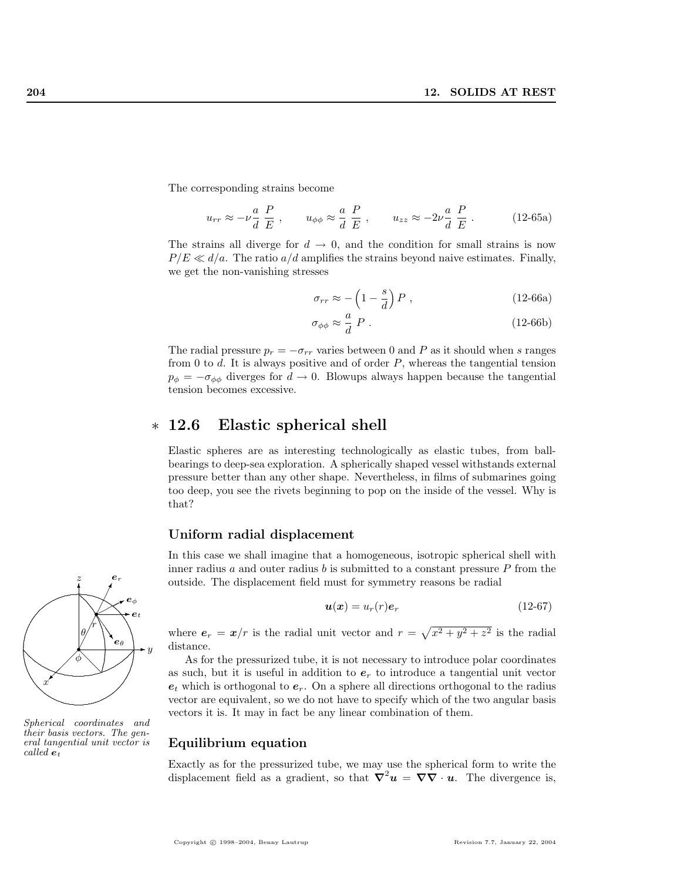The corresponding strains become

$$
u_{rr} \approx -\nu \frac{a}{d} \frac{P}{E} , \qquad u_{\phi\phi} \approx \frac{a}{d} \frac{P}{E} , \qquad u_{zz} \approx -2\nu \frac{a}{d} \frac{P}{E} . \tag{12-65a}
$$

The strains all diverge for  $d \to 0$ , and the condition for small strains is now  $P/E \ll d/a$ . The ratio  $a/d$  amplifies the strains beyond naive estimates. Finally, we get the non-vanishing stresses

$$
\sigma_{rr} \approx -\left(1 - \frac{s}{d}\right)P\,,\tag{12-66a}
$$

$$
\sigma_{\phi\phi} \approx \frac{a}{d} \; P \; . \tag{12-66b}
$$

The radial pressure  $p_r = -\sigma_{rr}$  varies between 0 and P as it should when s ranges from 0 to  $d$ . It is always positive and of order  $P$ , whereas the tangential tension  $p_{\phi} = -\sigma_{\phi\phi}$  diverges for  $d \to 0$ . Blowups always happen because the tangential tension becomes excessive.

# ∗ 12.6 Elastic spherical shell

Elastic spheres are as interesting technologically as elastic tubes, from ballbearings to deep-sea exploration. A spherically shaped vessel withstands external pressure better than any other shape. Nevertheless, in films of submarines going too deep, you see the rivets beginning to pop on the inside of the vessel. Why is that?

### Uniform radial displacement

In this case we shall imagine that a homogeneous, isotropic spherical shell with inner radius  $a$  and outer radius  $b$  is submitted to a constant pressure  $P$  from the outside. The displacement field must for symmetry reasons be radial

$$
\boldsymbol{u}(\boldsymbol{x}) = u_r(r)\boldsymbol{e}_r \tag{12-67}
$$

where  $e_r = x/r$  is the radial unit vector and  $r =$ p  $x^2 + y^2 + z^2$  is the radial distance.

As for the pressurized tube, it is not necessary to introduce polar coordinates as such, but it is useful in addition to  $e_r$  to introduce a tangential unit vector  $e_t$  which is orthogonal to  $e_r$ . On a sphere all directions orthogonal to the radius vector are equivalent, so we do not have to specify which of the two angular basis vectors it is. It may in fact be any linear combination of them.

#### Equilibrium equation

Exactly as for the pressurized tube, we may use the spherical form to write the displacement field as a gradient, so that  $\nabla^2 u = \nabla \nabla \cdot u$ . The divergence is,

![](_page_17_Figure_16.jpeg)

Spherical coordinates and their basis vectors. The general tangential unit vector is called  $e_t$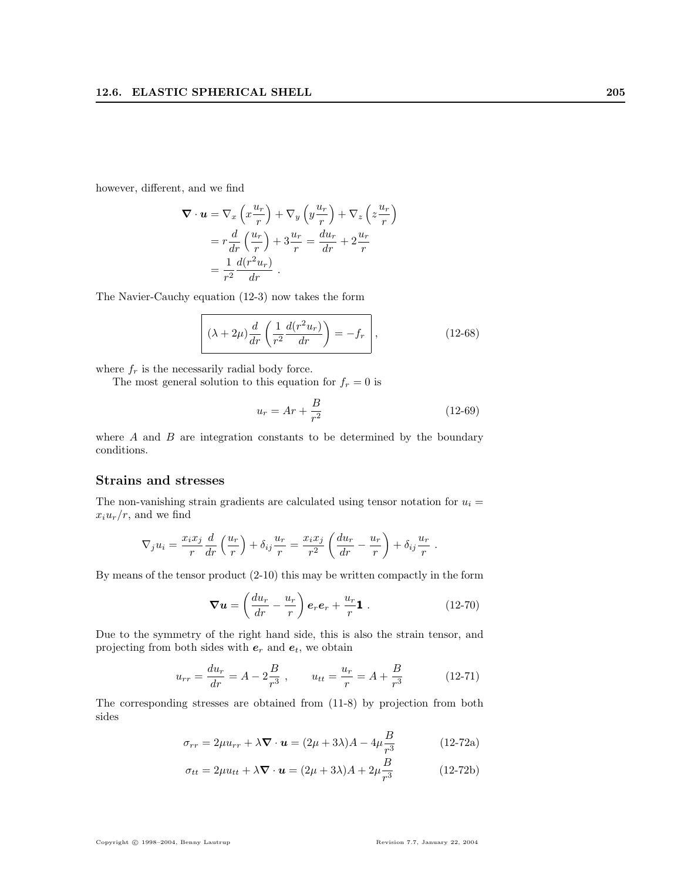however, different, and we find

$$
\nabla \cdot \mathbf{u} = \nabla_x \left( x \frac{u_r}{r} \right) + \nabla_y \left( y \frac{u_r}{r} \right) + \nabla_z \left( z \frac{u_r}{r} \right)
$$
  
=  $r \frac{d}{dr} \left( \frac{u_r}{r} \right) + 3 \frac{u_r}{r} = \frac{du_r}{dr} + 2 \frac{u_r}{r}$   
=  $\frac{1}{r^2} \frac{d(r^2 u_r)}{dr}$ .

The Navier-Cauchy equation (12-3) now takes the form

$$
(\lambda + 2\mu)\frac{d}{dr}\left(\frac{1}{r^2}\frac{d(r^2u_r)}{dr}\right) = -f_r\Bigg\},\qquad(12-68)
$$

where  $f_r$  is the necessarily radial body force.

The most general solution to this equation for  $f_r = 0$  is

$$
u_r = Ar + \frac{B}{r^2} \tag{12-69}
$$

where  $A$  and  $B$  are integration constants to be determined by the boundary conditions.

### Strains and stresses

The non-vanishing strain gradients are calculated using tensor notation for  $u_i =$  $x_i u_r/r$ , and we find

$$
\nabla_j u_i = \frac{x_i x_j}{r} \frac{d}{dr} \left( \frac{u_r}{r} \right) + \delta_{ij} \frac{u_r}{r} = \frac{x_i x_j}{r^2} \left( \frac{d u_r}{dr} - \frac{u_r}{r} \right) + \delta_{ij} \frac{u_r}{r} .
$$

By means of the tensor product (2-10) this may be written compactly in the form

$$
\nabla u = \left(\frac{du_r}{dr} - \frac{u_r}{r}\right) e_r e_r + \frac{u_r}{r} \mathbf{1} \ . \tag{12-70}
$$

Due to the symmetry of the right hand side, this is also the strain tensor, and projecting from both sides with  $e_r$  and  $e_t$ , we obtain

$$
u_{rr} = \frac{du_r}{dr} = A - 2\frac{B}{r^3} , \qquad u_{tt} = \frac{u_r}{r} = A + \frac{B}{r^3}
$$
 (12-71)

The corresponding stresses are obtained from (11-8) by projection from both sides

$$
\sigma_{rr} = 2\mu u_{rr} + \lambda \nabla \cdot \mathbf{u} = (2\mu + 3\lambda)A - 4\mu \frac{B}{r^3}
$$
 (12-72a)

$$
\sigma_{tt} = 2\mu u_{tt} + \lambda \nabla \cdot \mathbf{u} = (2\mu + 3\lambda)A + 2\mu \frac{B}{r^3}
$$
 (12-72b)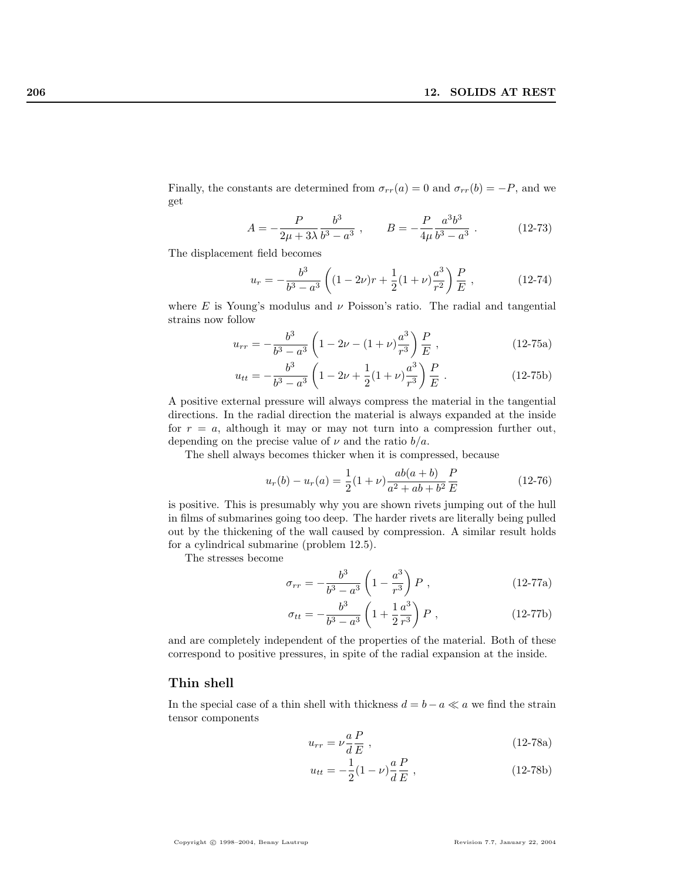Finally, the constants are determined from  $\sigma_{rr}(a) = 0$  and  $\sigma_{rr}(b) = -P$ , and we get

$$
A = -\frac{P}{2\mu + 3\lambda} \frac{b^3}{b^3 - a^3} , \qquad B = -\frac{P}{4\mu} \frac{a^3 b^3}{b^3 - a^3} .
$$
 (12-73)

The displacement field becomes

$$
u_r = -\frac{b^3}{b^3 - a^3} \left( (1 - 2\nu)r + \frac{1}{2}(1 + \nu)\frac{a^3}{r^2} \right) \frac{P}{E} ,
$$
 (12-74)

where E is Young's modulus and  $\nu$  Poisson's ratio. The radial and tangential strains now follow

$$
u_{rr} = -\frac{b^3}{b^3 - a^3} \left( 1 - 2\nu - (1 + \nu) \frac{a^3}{r^3} \right) \frac{P}{E} ,
$$
 (12-75a)

$$
u_{tt} = -\frac{b^3}{b^3 - a^3} \left( 1 - 2\nu + \frac{1}{2} (1 + \nu) \frac{a^3}{r^3} \right) \frac{P}{E} . \tag{12-75b}
$$

A positive external pressure will always compress the material in the tangential directions. In the radial direction the material is always expanded at the inside for  $r = a$ , although it may or may not turn into a compression further out, depending on the precise value of  $\nu$  and the ratio  $b/a$ .

The shell always becomes thicker when it is compressed, because

$$
u_r(b) - u_r(a) = \frac{1}{2}(1+\nu)\frac{ab(a+b)}{a^2 + ab + b^2}\frac{P}{E}
$$
 (12-76)

is positive. This is presumably why you are shown rivets jumping out of the hull in films of submarines going too deep. The harder rivets are literally being pulled out by the thickening of the wall caused by compression. A similar result holds for a cylindrical submarine (problem 12.5).

The stresses become

$$
\sigma_{rr} = -\frac{b^3}{b^3 - a^3} \left( 1 - \frac{a^3}{r^3} \right) P , \qquad (12-77a)
$$

$$
\sigma_{tt} = -\frac{b^3}{b^3 - a^3} \left( 1 + \frac{1}{2} \frac{a^3}{r^3} \right) P , \qquad (12-77b)
$$

and are completely independent of the properties of the material. Both of these correspond to positive pressures, in spite of the radial expansion at the inside.

#### Thin shell

In the special case of a thin shell with thickness  $d = b - a \ll a$  we find the strain tensor components

$$
u_{rr} = \nu \frac{a}{d} \frac{P}{E} \t{12-78a}
$$

$$
u_{tt} = -\frac{1}{2}(1-\nu)\frac{a}{d}\frac{P}{E}, \qquad (12-78b)
$$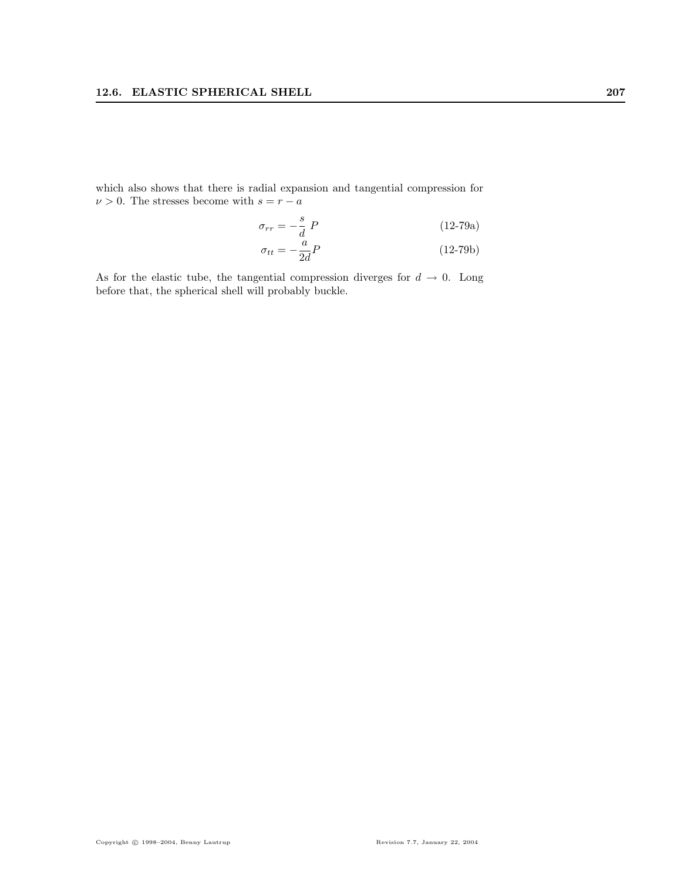which also shows that there is radial expansion and tangential compression for  $\nu>0.$  The stresses become with  $s=r-a$ 

$$
\sigma_{rr} = -\frac{s}{d} \ P \tag{12-79a}
$$

$$
\sigma_{tt} = -\frac{a}{2d}P\tag{12-79b}
$$

As for the elastic tube, the tangential compression diverges for  $d \to 0$ . Long before that, the spherical shell will probably buckle.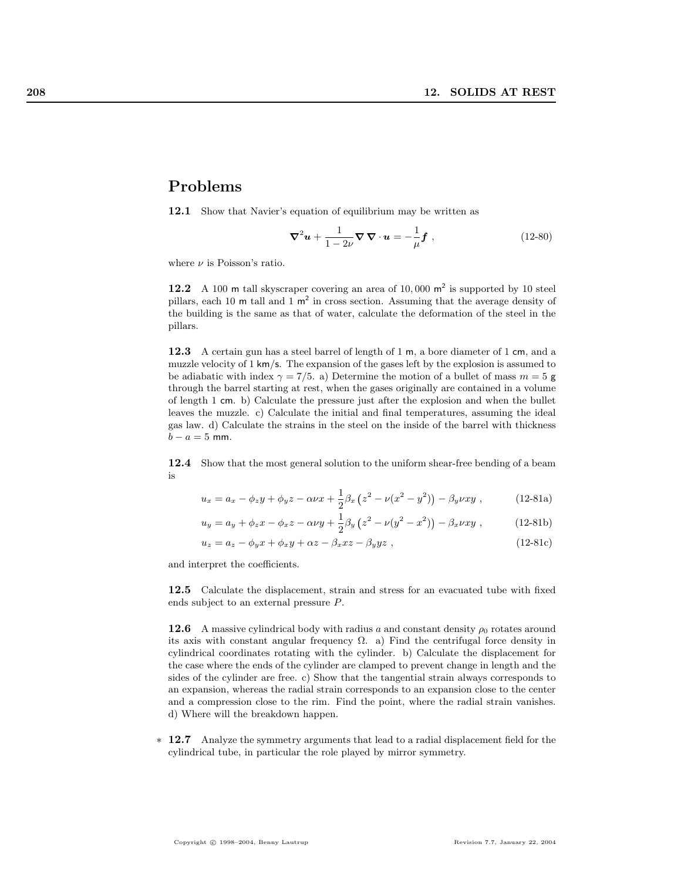# Problems

12.1 Show that Navier's equation of equilibrium may be written as

$$
\nabla^2 \boldsymbol{u} + \frac{1}{1 - 2\nu} \nabla \nabla \cdot \boldsymbol{u} = -\frac{1}{\mu} \boldsymbol{f} \tag{12-80}
$$

where  $\nu$  is Poisson's ratio.

12.2 A 100 m tall skyscraper covering an area of 10,000  $m<sup>2</sup>$  is supported by 10 steel pillars, each 10 m tall and 1  $m<sup>2</sup>$  in cross section. Assuming that the average density of the building is the same as that of water, calculate the deformation of the steel in the pillars.

12.3 A certain gun has a steel barrel of length of 1 m, a bore diameter of 1 cm, and a muzzle velocity of  $1 \text{ km/s}$ . The expansion of the gases left by the explosion is assumed to be adiabatic with index  $\gamma = 7/5$ . a) Determine the motion of a bullet of mass  $m = 5$  g through the barrel starting at rest, when the gases originally are contained in a volume of length 1 cm. b) Calculate the pressure just after the explosion and when the bullet leaves the muzzle. c) Calculate the initial and final temperatures, assuming the ideal gas law. d) Calculate the strains in the steel on the inside of the barrel with thickness  $b - a = 5$  mm.

12.4 Show that the most general solution to the uniform shear-free bending of a beam is

$$
u_x = a_x - \phi_z y + \phi_y z - \alpha \nu x + \frac{1}{2} \beta_x (z^2 - \nu (x^2 - y^2)) - \beta_y \nu xy , \qquad (12-81a)
$$

$$
u_y = a_y + \phi_z x - \phi_x z - \alpha \nu y + \frac{1}{2} \beta_y (z^2 - \nu (y^2 - x^2)) - \beta_x \nu xy , \qquad (12-81b)
$$

$$
u_z = a_z - \phi_y x + \phi_x y + \alpha z - \beta_x xz - \beta_y yz , \qquad (12-81c)
$$

and interpret the coefficients.

12.5 Calculate the displacement, strain and stress for an evacuated tube with fixed ends subject to an external pressure P.

12.6 A massive cylindrical body with radius a and constant density  $\rho_0$  rotates around its axis with constant angular frequency  $\Omega$ . a) Find the centrifugal force density in cylindrical coordinates rotating with the cylinder. b) Calculate the displacement for the case where the ends of the cylinder are clamped to prevent change in length and the sides of the cylinder are free. c) Show that the tangential strain always corresponds to an expansion, whereas the radial strain corresponds to an expansion close to the center and a compression close to the rim. Find the point, where the radial strain vanishes. d) Where will the breakdown happen.

∗ 12.7 Analyze the symmetry arguments that lead to a radial displacement field for the cylindrical tube, in particular the role played by mirror symmetry.